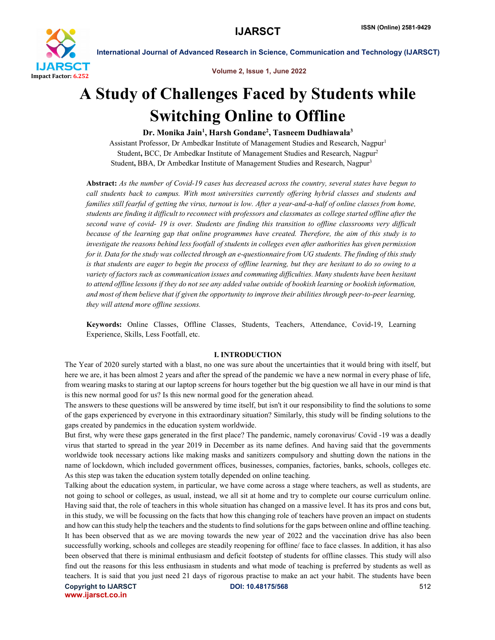

Volume 2, Issue 1, June 2022

International Journal of Advanced Research in Science, Communication and Technology (IJARSCT)

# A Study of Challenges Faced by Students while Switching Online to Offline

# Dr. Monika Jain<sup>1</sup>, Harsh Gondane<sup>2</sup>, Tasneem Dudhiawala<sup>3</sup>

Assistant Professor, Dr Ambedkar Institute of Management Studies and Research, Nagpur<sup>1</sup> Student, BCC, Dr Ambedkar Institute of Management Studies and Research, Nagpur2 Student, BBA, Dr Ambedkar Institute of Management Studies and Research, Nagpur<sup>3</sup>

Abstract: *As the number of Covid-19 cases has decreased across the country, several states have begun to call students back to campus. With most universities currently offering hybrid classes and students and families still fearful of getting the virus, turnout is low. After a year-and-a-half of online classes from home, students are finding it difficult to reconnect with professors and classmates as college started offline after the second wave of covid- 19 is over. Students are finding this transition to offline classrooms very difficult because of the learning gap that online programmes have created. Therefore, the aim of this study is to investigate the reasons behind less footfall of students in colleges even after authorities has given permission for it. Data for the study was collected through an e-questionnaire from UG students. The finding of this study is that students are eager to begin the process of offline learning, but they are hesitant to do so owing to a variety of factors such as communication issues and commuting difficulties. Many students have been hesitant*  to attend offline lessons if they do not see any added value outside of bookish learning or bookish information, *and most of them believe that if given the opportunity to improve their abilities through peer-to-peer learning, they will attend more offline sessions.*

Keywords: Online Classes, Offline Classes, Students, Teachers, Attendance, Covid-19, Learning Experience, Skills, Less Footfall, etc.

#### I. INTRODUCTION

The Year of 2020 surely started with a blast, no one was sure about the uncertainties that it would bring with itself, but here we are, it has been almost 2 years and after the spread of the pandemic we have a new normal in every phase of life, from wearing masks to staring at our laptop screens for hours together but the big question we all have in our mind is that is this new normal good for us? Is this new normal good for the generation ahead.

The answers to these questions will be answered by time itself, but isn't it our responsibility to find the solutions to some of the gaps experienced by everyone in this extraordinary situation? Similarly, this study will be finding solutions to the gaps created by pandemics in the education system worldwide.

But first, why were these gaps generated in the first place? The pandemic, namely coronavirus/ Covid -19 was a deadly virus that started to spread in the year 2019 in December as its name defines. And having said that the governments worldwide took necessary actions like making masks and sanitizers compulsory and shutting down the nations in the name of lockdown, which included government offices, businesses, companies, factories, banks, schools, colleges etc. As this step was taken the education system totally depended on online teaching.

Talking about the education system, in particular, we have come across a stage where teachers, as well as students, are not going to school or colleges, as usual, instead, we all sit at home and try to complete our course curriculum online. Having said that, the role of teachers in this whole situation has changed on a massive level. It has its pros and cons but, in this study, we will be focussing on the facts that how this changing role of teachers have proven an impact on students and how can this study help the teachers and the students to find solutions for the gaps between online and offline teaching. It has been observed that as we are moving towards the new year of 2022 and the vaccination drive has also been successfully working, schools and colleges are steadily reopening for offline/ face to face classes. In addition, it has also been observed that there is minimal enthusiasm and deficit footstep of students for offline classes. This study will also find out the reasons for this less enthusiasm in students and what mode of teaching is preferred by students as well as teachers. It is said that you just need 21 days of rigorous practise to make an act your habit. The students have been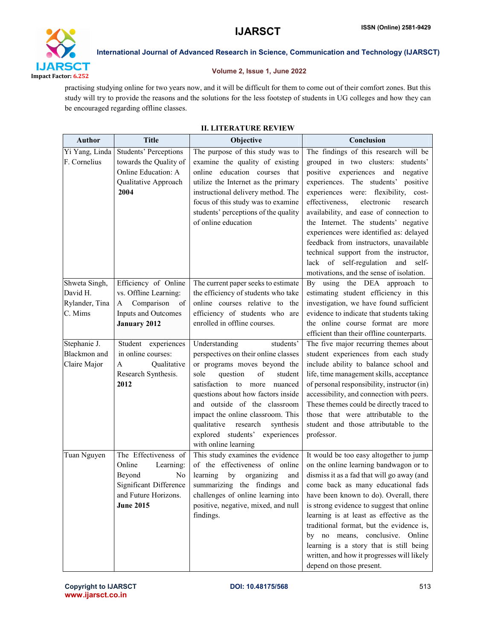

# Volume 2, Issue 1, June 2022

practising studying online for two years now, and it will be difficult for them to come out of their comfort zones. But this study will try to provide the reasons and the solutions for the less footstep of students in UG colleges and how they can be encouraged regarding offline classes.

| <b>Author</b>                                          | <b>Title</b>                                                                                                                                  | Objective                                                                                                                                                                                                                                                                                                                                                                               | Conclusion                                                                                                                                                                                                                                                                                                                                                                                                                                                                                                                                           |  |  |
|--------------------------------------------------------|-----------------------------------------------------------------------------------------------------------------------------------------------|-----------------------------------------------------------------------------------------------------------------------------------------------------------------------------------------------------------------------------------------------------------------------------------------------------------------------------------------------------------------------------------------|------------------------------------------------------------------------------------------------------------------------------------------------------------------------------------------------------------------------------------------------------------------------------------------------------------------------------------------------------------------------------------------------------------------------------------------------------------------------------------------------------------------------------------------------------|--|--|
| Yi Yang, Linda<br>F. Cornelius                         | <b>Students' Perceptions</b><br>towards the Quality of<br>Online Education: A<br>Qualitative Approach<br>2004                                 | The purpose of this study was to<br>examine the quality of existing<br>online education courses that<br>utilize the Internet as the primary<br>instructional delivery method. The<br>focus of this study was to examine<br>students' perceptions of the quality<br>of online education                                                                                                  | The findings of this research will be<br>grouped in two clusters: students'<br>positive<br>experiences and<br>negative<br>experiences. The students' positive<br>experiences were: flexibility, cost-<br>effectiveness,<br>electronic<br>research<br>availability, and ease of connection to<br>the Internet. The students' negative<br>experiences were identified as: delayed<br>feedback from instructors, unavailable<br>technical support from the instructor,<br>lack of self-regulation and self-<br>motivations, and the sense of isolation. |  |  |
| Shweta Singh,<br>David H.<br>Rylander, Tina<br>C. Mims | Efficiency of Online<br>vs. Offline Learning:<br>Comparison<br>A<br>of<br>Inputs and Outcomes<br><b>January 2012</b>                          | The current paper seeks to estimate<br>the efficiency of students who take<br>online courses relative to the<br>efficiency of students who are<br>enrolled in offline courses.                                                                                                                                                                                                          | By using the DEA approach to<br>estimating student efficiency in this<br>investigation, we have found sufficient<br>evidence to indicate that students taking<br>the online course format are more<br>efficient than their offline counterparts.                                                                                                                                                                                                                                                                                                     |  |  |
| Stephanie J.<br>Blackmon and<br>Claire Major           | Student experiences<br>in online courses:<br>Qualitative<br>A<br>Research Synthesis.<br>2012                                                  | students'<br>Understanding<br>perspectives on their online classes<br>or programs moves beyond the<br>of<br>sole<br>question<br>student<br>satisfaction to more<br>nuanced<br>questions about how factors inside<br>and outside of the classroom<br>impact the online classroom. This<br>qualitative<br>research<br>synthesis<br>explored students' experiences<br>with online learning | The five major recurring themes about<br>student experiences from each study<br>include ability to balance school and<br>life, time management skills, acceptance<br>of personal responsibility, instructor (in)<br>accessibility, and connection with peers.<br>These themes could be directly traced to<br>those that were attributable to the<br>student and those attributable to the<br>professor.                                                                                                                                              |  |  |
| Tuan Nguyen                                            | The Effectiveness of<br>Online<br>Learning:<br>Beyond<br>N <sub>0</sub><br>Significant Difference<br>and Future Horizons.<br><b>June 2015</b> | This study examines the evidence<br>of the effectiveness of online<br>learning<br>by<br>organizing<br>and<br>summarizing the findings<br>and<br>challenges of online learning into<br>positive, negative, mixed, and null<br>findings.                                                                                                                                                  | It would be too easy altogether to jump<br>on the online learning bandwagon or to<br>dismiss it as a fad that will go away (and<br>come back as many educational fads<br>have been known to do). Overall, there<br>is strong evidence to suggest that online<br>learning is at least as effective as the<br>traditional format, but the evidence is,<br>by no means, conclusive. Online<br>learning is a story that is still being<br>written, and how it progresses will likely<br>depend on those present.                                         |  |  |

# II. LITERATURE REVIEW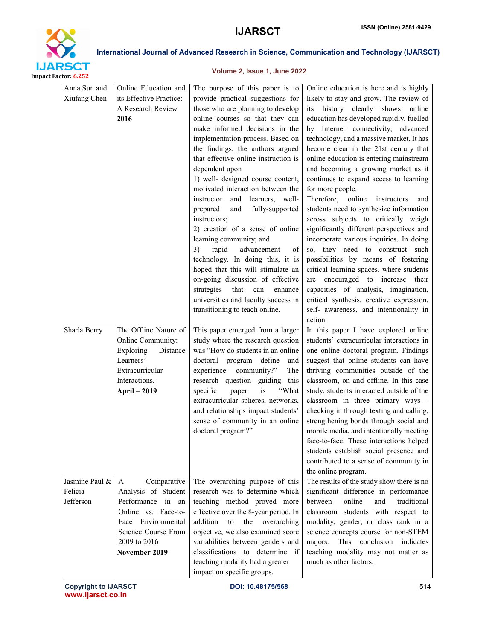

# Volume 2, Issue 1, June 2022

| Anna Sun and<br>Xiufang Chen           | Online Education and<br>its Effective Practice:<br>A Research Review<br>2016                                                                                      | The purpose of this paper is to<br>provide practical suggestions for<br>those who are planning to develop<br>online courses so that they can<br>make informed decisions in the<br>implementation process. Based on<br>the findings, the authors argued<br>that effective online instruction is<br>dependent upon<br>1) well- designed course content,<br>motivated interaction between the<br>learners, well-<br>instructor<br>and<br>fully-supported<br>prepared<br>and<br>instructors;<br>2) creation of a sense of online<br>learning community; and<br>rapid<br>advancement<br>3)<br>of<br>technology. In doing this, it is<br>hoped that this will stimulate an<br>on-going discussion of effective<br>strategies<br>that<br>can<br>enhance<br>universities and faculty success in<br>transitioning to teach online. | Online education is here and is highly<br>likely to stay and grow. The review of<br>history clearly shows<br>online<br>its<br>education has developed rapidly, fuelled<br>by Internet connectivity, advanced<br>technology, and a massive market. It has<br>become clear in the 21st century that<br>online education is entering mainstream<br>and becoming a growing market as it<br>continues to expand access to learning<br>for more people.<br>Therefore,<br>online<br>instructors<br>and<br>students need to synthesize information<br>across subjects to critically weigh<br>significantly different perspectives and<br>incorporate various inquiries. In doing<br>so, they need to construct such<br>possibilities by means of fostering<br>critical learning spaces, where students<br>are encouraged to increase their<br>capacities of analysis, imagination,<br>critical synthesis, creative expression,<br>self- awareness, and intentionality in<br>action |
|----------------------------------------|-------------------------------------------------------------------------------------------------------------------------------------------------------------------|---------------------------------------------------------------------------------------------------------------------------------------------------------------------------------------------------------------------------------------------------------------------------------------------------------------------------------------------------------------------------------------------------------------------------------------------------------------------------------------------------------------------------------------------------------------------------------------------------------------------------------------------------------------------------------------------------------------------------------------------------------------------------------------------------------------------------|----------------------------------------------------------------------------------------------------------------------------------------------------------------------------------------------------------------------------------------------------------------------------------------------------------------------------------------------------------------------------------------------------------------------------------------------------------------------------------------------------------------------------------------------------------------------------------------------------------------------------------------------------------------------------------------------------------------------------------------------------------------------------------------------------------------------------------------------------------------------------------------------------------------------------------------------------------------------------|
| Sharla Berry                           | The Offline Nature of<br>Online Community:<br>Exploring<br>Distance<br>Learners'<br>Extracurricular<br>Interactions.<br><b>April - 2019</b>                       | This paper emerged from a larger<br>study where the research question<br>was "How do students in an online"<br>doctoral program define<br>and<br>experience<br>community?"<br>The<br>research question guiding<br>this<br>is<br>"What<br>specific<br>paper<br>extracurricular spheres, networks,<br>and relationships impact students'<br>sense of community in an online<br>doctoral program?"                                                                                                                                                                                                                                                                                                                                                                                                                           | In this paper I have explored online<br>students' extracurricular interactions in<br>one online doctoral program. Findings<br>suggest that online students can have<br>thriving communities outside of the<br>classroom, on and offline. In this case<br>study, students interacted outside of the<br>classroom in three primary ways -<br>checking in through texting and calling,<br>strengthening bonds through social and<br>mobile media, and intentionally meeting<br>face-to-face. These interactions helped<br>students establish social presence and<br>contributed to a sense of community in<br>the online program.                                                                                                                                                                                                                                                                                                                                             |
| Jasmine Paul &<br>Felicia<br>Jefferson | Comparative<br>A<br>Analysis of Student<br>Performance in an<br>Online vs. Face-to-<br>Face Environmental<br>Science Course From<br>2009 to 2016<br>November 2019 | The overarching purpose of this<br>research was to determine which<br>teaching method proved more<br>effective over the 8-year period. In<br>addition<br>to<br>the<br>overarching<br>objective, we also examined score<br>variabilities between genders and<br>classifications to determine if<br>teaching modality had a greater<br>impact on specific groups.                                                                                                                                                                                                                                                                                                                                                                                                                                                           | The results of the study show there is no<br>significant difference in performance<br>between<br>online<br>and<br>traditional<br>classroom students with respect to<br>modality, gender, or class rank in a<br>science concepts course for non-STEM<br>This conclusion<br>majors.<br>indicates<br>teaching modality may not matter as<br>much as other factors.                                                                                                                                                                                                                                                                                                                                                                                                                                                                                                                                                                                                            |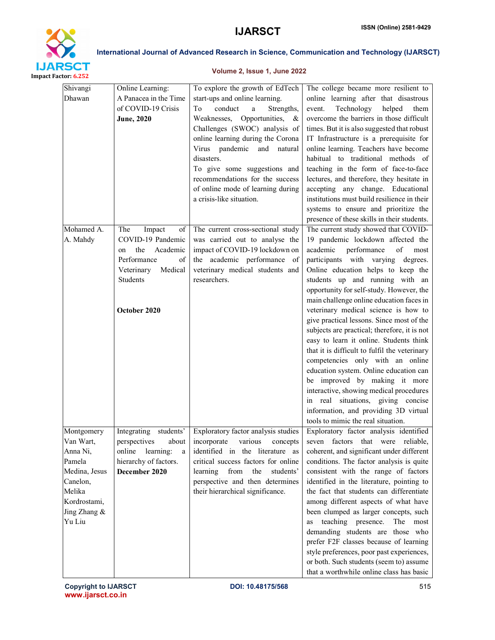

# Volume 2, Issue 1, June 2022

| Shivangi      | Online Learning:         | To explore the growth of EdTech      | The college became more resilient to                                                                                                  |
|---------------|--------------------------|--------------------------------------|---------------------------------------------------------------------------------------------------------------------------------------|
| Dhawan        | A Panacea in the Time    | start-ups and online learning.       | online learning after that disastrous                                                                                                 |
|               | of COVID-19 Crisis       | conduct<br>Strengths,<br>Тo<br>a     | Technology<br>helped<br>event.<br>them                                                                                                |
|               | <b>June, 2020</b>        | Weaknesses, Opportunities, &         | overcome the barriers in those difficult                                                                                              |
|               |                          | Challenges (SWOC) analysis of        | times. But it is also suggested that robust                                                                                           |
|               |                          | online learning during the Corona    | IT Infrastructure is a prerequisite for                                                                                               |
|               |                          | Virus pandemic and natural           | online learning. Teachers have become                                                                                                 |
|               |                          | disasters.                           | habitual to traditional methods of                                                                                                    |
|               |                          | To give some suggestions and         | teaching in the form of face-to-face                                                                                                  |
|               |                          | recommendations for the success      | lectures, and therefore, they hesitate in                                                                                             |
|               |                          | of online mode of learning during    | accepting any change. Educational                                                                                                     |
|               |                          | a crisis-like situation.             | institutions must build resilience in their                                                                                           |
|               |                          |                                      | systems to ensure and prioritize the                                                                                                  |
|               |                          |                                      | presence of these skills in their students.                                                                                           |
| Mohamed A.    | The<br>Impact<br>of      | The current cross-sectional study    | The current study showed that COVID-                                                                                                  |
| A. Mahdy      | COVID-19 Pandemic        | was carried out to analyse the       | 19 pandemic lockdown affected the                                                                                                     |
|               | Academic<br>the<br>on    | impact of COVID-19 lockdown on       | performance<br>academic<br>$% \left( \left( \mathcal{A},\mathcal{A}\right) \right) =\left( \mathcal{A},\mathcal{A}\right)$ of<br>most |
|               | Performance<br>οf        | the academic performance of          | participants with varying degrees.                                                                                                    |
|               | Medical<br>Veterinary    | veterinary medical students and      | Online education helps to keep the                                                                                                    |
|               | Students                 | researchers.                         | students up and running with an                                                                                                       |
|               |                          |                                      | opportunity for self-study. However, the                                                                                              |
|               |                          |                                      | main challenge online education faces in                                                                                              |
|               | October 2020             |                                      | veterinary medical science is how to                                                                                                  |
|               |                          |                                      | give practical lessons. Since most of the                                                                                             |
|               |                          |                                      | subjects are practical; therefore, it is not                                                                                          |
|               |                          |                                      | easy to learn it online. Students think                                                                                               |
|               |                          |                                      | that it is difficult to fulfil the veterinary                                                                                         |
|               |                          |                                      | competencies only with an online                                                                                                      |
|               |                          |                                      | education system. Online education can                                                                                                |
|               |                          |                                      | be improved by making it more                                                                                                         |
|               |                          |                                      | interactive, showing medical procedures                                                                                               |
|               |                          |                                      | in real situations, giving concise                                                                                                    |
|               |                          |                                      | information, and providing 3D virtual                                                                                                 |
|               |                          |                                      | tools to mimic the real situation.                                                                                                    |
| Montgomery    | students'<br>Integrating | Exploratory factor analysis studies  | Exploratory factor analysis identified                                                                                                |
| Van Wart,     | perspectives<br>about    | incorporate<br>various<br>concepts   | seven factors that were reliable,                                                                                                     |
| Anna Ni,      | online<br>learning:<br>a | identified in the literature as      | coherent, and significant under different                                                                                             |
| Pamela        | hierarchy of factors.    | critical success factors for online  | conditions. The factor analysis is quite                                                                                              |
| Medina, Jesus | December 2020            | learning<br>students'<br>from<br>the | consistent with the range of factors                                                                                                  |
| Canelon,      |                          | perspective and then determines      | identified in the literature, pointing to                                                                                             |
| Melika        |                          | their hierarchical significance.     | the fact that students can differentiate                                                                                              |
| Kordrostami,  |                          |                                      | among different aspects of what have                                                                                                  |
| Jing Zhang &  |                          |                                      | been clumped as larger concepts, such                                                                                                 |
| Yu Liu        |                          |                                      | teaching presence. The<br>most<br>as                                                                                                  |
|               |                          |                                      | demanding students are those who                                                                                                      |
|               |                          |                                      | prefer F2F classes because of learning                                                                                                |
|               |                          |                                      | style preferences, poor past experiences,                                                                                             |
|               |                          |                                      | or both. Such students (seem to) assume                                                                                               |
|               |                          |                                      | that a worthwhile online class has basic                                                                                              |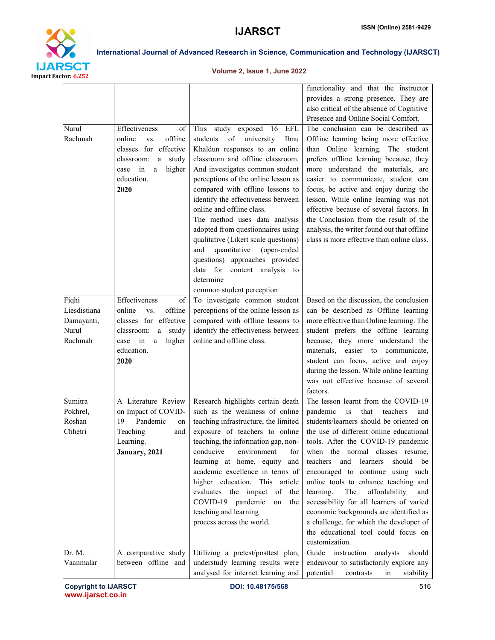

# Volume 2, Issue 1, June 2022

| Nurul<br>Rachmah                                        | Effectiveness<br>of<br>online<br>offline<br>VS.<br>classes for effective<br>study<br>classroom:<br>a<br>higher<br>in<br>case<br>a<br>education.<br>2020 | study exposed<br>16<br>EFL<br>This<br>of<br>university<br>students<br>Ibnu<br>Khaldun responses to an online<br>classroom and offline classroom.<br>And investigates common student<br>perceptions of the online lesson as<br>compared with offline lessons to<br>identify the effectiveness between<br>online and offline class.<br>The method uses data analysis<br>adopted from questionnaires using<br>qualitative (Likert scale questions)<br>quantitative<br>and<br>(open-ended<br>questions) approaches provided<br>data for content analysis<br>to<br>determine<br>common student perception | functionality and that the instructor<br>provides a strong presence. They are<br>also critical of the absence of Cognitive<br>Presence and Online Social Comfort.<br>The conclusion can be described as<br>Offline learning being more effective<br>than Online learning. The student<br>prefers offline learning because, they<br>more understand the materials, are<br>easier to communicate, student can<br>focus, be active and enjoy during the<br>lesson. While online learning was not<br>effective because of several factors. In<br>the Conclusion from the result of the<br>analysis, the writer found out that offline<br>class is more effective than online class. |
|---------------------------------------------------------|---------------------------------------------------------------------------------------------------------------------------------------------------------|------------------------------------------------------------------------------------------------------------------------------------------------------------------------------------------------------------------------------------------------------------------------------------------------------------------------------------------------------------------------------------------------------------------------------------------------------------------------------------------------------------------------------------------------------------------------------------------------------|---------------------------------------------------------------------------------------------------------------------------------------------------------------------------------------------------------------------------------------------------------------------------------------------------------------------------------------------------------------------------------------------------------------------------------------------------------------------------------------------------------------------------------------------------------------------------------------------------------------------------------------------------------------------------------|
| Fiqhi<br>Liesdistiana<br>Damayanti,<br>Nurul<br>Rachmah | Effectiveness<br>of<br>online<br>offline<br>VS.<br>classes for effective<br>classroom:<br>study<br>a<br>higher<br>in<br>case<br>a<br>education.<br>2020 | To investigate common student<br>perceptions of the online lesson as<br>compared with offline lessons to<br>identify the effectiveness between<br>online and offline class.                                                                                                                                                                                                                                                                                                                                                                                                                          | Based on the discussion, the conclusion<br>can be described as Offline learning<br>more effective than Online learning. The<br>student prefers the offline learning<br>because, they more understand the<br>materials, easier to communicate,<br>student can focus, active and enjoy<br>during the lesson. While online learning<br>was not effective because of several<br>factors.                                                                                                                                                                                                                                                                                            |
| Sumitra<br>Pokhrel,<br>Roshan<br>Chhetri                | A Literature Review<br>on Impact of COVID-<br>19<br>Pandemic<br>on<br>Teaching<br>and<br>Learning.<br>January, 2021                                     | Research highlights certain death<br>such as the weakness of online<br>teaching infrastructure, the limited<br>exposure of teachers to online<br>teaching, the information gap, non-<br>conducive<br>for<br>environment<br>learning at home, equity<br>and<br>academic excellence in terms of<br>higher education. This article<br>evaluates the impact<br>of<br>the<br>COVID-19 pandemic<br>on<br>the<br>teaching and learning<br>process across the world.                                                                                                                                         | The lesson learnt from the COVID-19<br>is<br>pandemic<br>that<br>teachers<br>and<br>students/learners should be oriented on<br>the use of different online educational<br>tools. After the COVID-19 pandemic<br>when the normal classes resume,<br>teachers and<br>learners<br>should be<br>encouraged to continue using such<br>online tools to enhance teaching and<br>affordability<br>learning.<br>The<br>and<br>accessibility for all learners of varied<br>economic backgrounds are identified as<br>a challenge, for which the developer of<br>the educational tool could focus on<br>customization.                                                                     |
| Dr. M.<br>Vaanmalar                                     | A comparative study<br>between offline and                                                                                                              | Utilizing a pretest/posttest plan,<br>understudy learning results were<br>analysed for internet learning and                                                                                                                                                                                                                                                                                                                                                                                                                                                                                         | Guide<br>instruction<br>analysts<br>should<br>endeavour to satisfactorily explore any<br>potential<br>viability<br>contrasts<br>in                                                                                                                                                                                                                                                                                                                                                                                                                                                                                                                                              |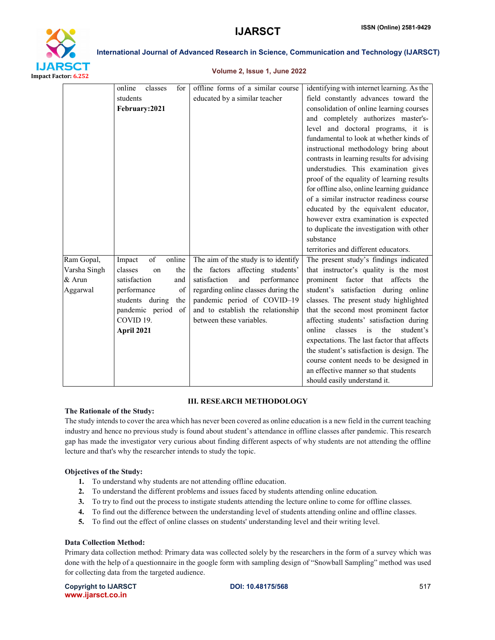

#### Volume 2, Issue 1, June 2022

|              | online<br>classes<br>for | offline forms of a similar course   | identifying with internet learning. As the  |  |  |
|--------------|--------------------------|-------------------------------------|---------------------------------------------|--|--|
|              | students                 | educated by a similar teacher       | field constantly advances toward the        |  |  |
|              | February:2021            |                                     | consolidation of online learning courses    |  |  |
|              |                          |                                     | and completely authorizes master's-         |  |  |
|              |                          |                                     | level and doctoral programs, it is          |  |  |
|              |                          |                                     | fundamental to look at whether kinds of     |  |  |
|              |                          |                                     | instructional methodology bring about       |  |  |
|              |                          |                                     | contrasts in learning results for advising  |  |  |
|              |                          |                                     | understudies. This examination gives        |  |  |
|              |                          |                                     | proof of the equality of learning results   |  |  |
|              |                          |                                     | for offline also, online learning guidance  |  |  |
|              |                          |                                     | of a similar instructor readiness course    |  |  |
|              |                          |                                     | educated by the equivalent educator,        |  |  |
|              |                          |                                     | however extra examination is expected       |  |  |
|              |                          |                                     | to duplicate the investigation with other   |  |  |
|              |                          |                                     | substance                                   |  |  |
|              |                          |                                     | territories and different educators.        |  |  |
| Ram Gopal,   | of<br>online<br>Impact   | The aim of the study is to identify | The present study's findings indicated      |  |  |
| Varsha Singh | classes<br>the<br>on     | the factors affecting students'     | that instructor's quality is the most       |  |  |
| $&$ Arun     | satisfaction<br>and      | satisfaction<br>and<br>performance  | prominent factor that affects the           |  |  |
| Aggarwal     | performance<br>of        | regarding online classes during the | student's satisfaction during online        |  |  |
|              | students during<br>the   | pandemic period of COVID-19         | classes. The present study highlighted      |  |  |
|              | pandemic period of       | and to establish the relationship   | that the second most prominent factor       |  |  |
|              | COVID 19.                | between these variables.            | affecting students' satisfaction during     |  |  |
|              | April 2021               |                                     | online<br>classes<br>is<br>the<br>student's |  |  |
|              |                          |                                     | expectations. The last factor that affects  |  |  |
|              |                          |                                     | the student's satisfaction is design. The   |  |  |
|              |                          |                                     | course content needs to be designed in      |  |  |
|              |                          |                                     | an effective manner so that students        |  |  |
|              |                          |                                     | should easily understand it.                |  |  |

#### III. RESEARCH METHODOLOGY

#### The Rationale of the Study:

The study intends to cover the area which has never been covered as online education is a new field in the current teaching industry and hence no previous study is found about student's attendance in offline classes after pandemic. This research gap has made the investigator very curious about finding different aspects of why students are not attending the offline lecture and that's why the researcher intends to study the topic.

#### Objectives of the Study:

- 1. To understand why students are not attending offline education.
- 2. To understand the different problems and issues faced by students attending online education.
- 3. To try to find out the process to instigate students attending the lecture online to come for offline classes.
- 4. To find out the difference between the understanding level of students attending online and offline classes.
- 5. To find out the effect of online classes on students' understanding level and their writing level.

#### Data Collection Method:

Primary data collection method: Primary data was collected solely by the researchers in the form of a survey which was done with the help of a questionnaire in the google form with sampling design of "Snowball Sampling" method was used for collecting data from the targeted audience.

Copyright to IJARSCT **DOI: 10.48175/568 Example 2018** 517 www.ijarsct.co.in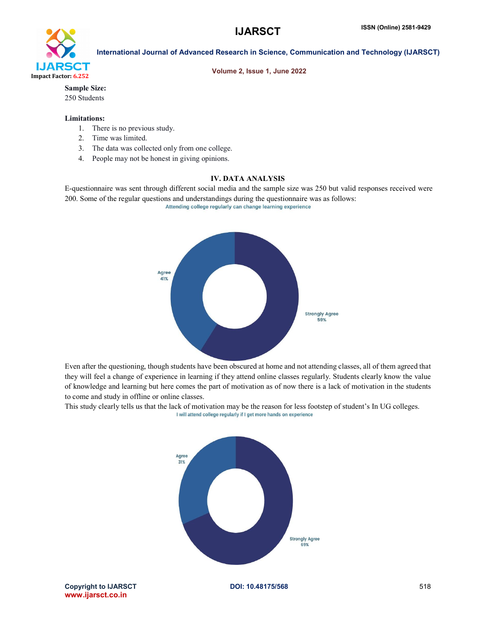

Volume 2, Issue 1, June 2022

Sample Size:

250 Students

# Limitations:

- 1. There is no previous study.
- 2. Time was limited.
- 3. The data was collected only from one college.
- 4. People may not be honest in giving opinions.

# IV. DATA ANALYSIS

E-questionnaire was sent through different social media and the sample size was 250 but valid responses received were 200. Some of the regular questions and understandings during the questionnaire was as follows: Attending college regularly can change learning experience



Even after the questioning, though students have been obscured at home and not attending classes, all of them agreed that they will feel a change of experience in learning if they attend online classes regularly. Students clearly know the value of knowledge and learning but here comes the part of motivation as of now there is a lack of motivation in the students to come and study in offline or online classes.

This study clearly tells us that the lack of motivation may be the reason for less footstep of student's In UG colleges.<br>I will attend college regularly if I get more hands on experience

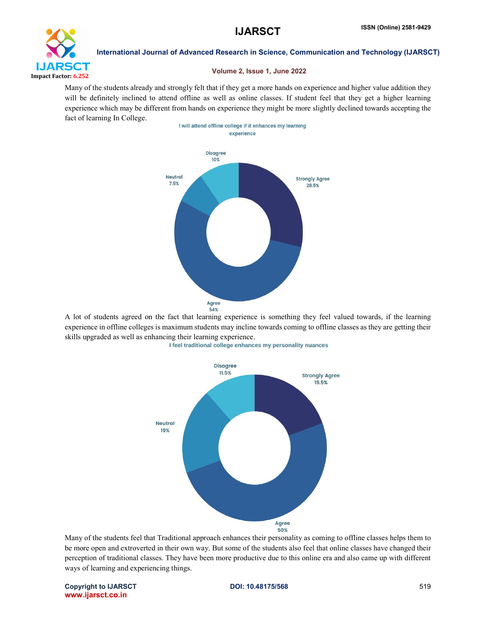

### Volume 2, Issue 1, June 2022

Many of the students already and strongly felt that if they get a more hands on experience and higher value addition they will be definitely inclined to attend offline as well as online classes. If student feel that they get a higher learning experience which may be different from hands on experience they might be more slightly declined towards accepting the fact of learning In College.



A lot of students agreed on the fact that learning experience is something they feel valued towards, if the learning experience in offline colleges is maximum students may incline towards coming to offline classes as they are getting their skills upgraded as well as enhancing their learning experience.





Many of the students feel that Traditional approach enhances their personality as coming to offline classes helps them to be more open and extroverted in their own way. But some of the students also feel that online classes have changed their perception of traditional classes. They have been more productive due to this online era and also came up with different ways of learning and experiencing things.

Copyright to IJARSCT **DOI: 10.48175/568** 519 www.ijarsct.co.in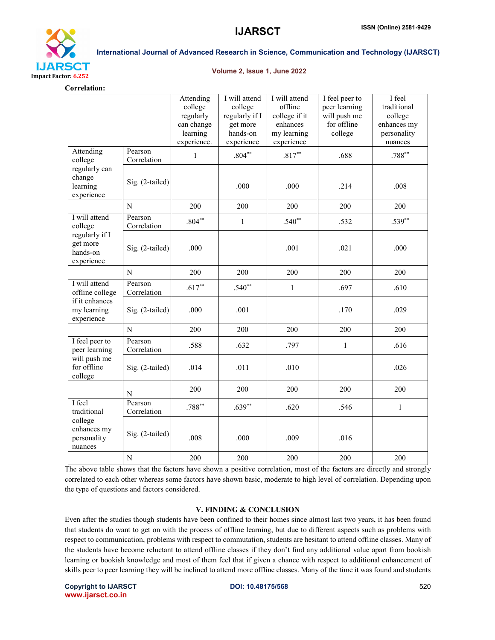

#### Volume 2, Issue 1, June 2022

Correlation:

|                                                                                 |                        | Attending<br>college<br>regularly<br>can change<br>learning<br>experience. | I will attend<br>college<br>regularly if I<br>get more<br>hands-on<br>experience | I will attend<br>offline<br>college if it<br>enhances<br>my learning<br>experience | I feel peer to<br>peer learning<br>will push me<br>for offline<br>college | I feel<br>traditional<br>college<br>enhances my<br>personality<br>nuances |
|---------------------------------------------------------------------------------|------------------------|----------------------------------------------------------------------------|----------------------------------------------------------------------------------|------------------------------------------------------------------------------------|---------------------------------------------------------------------------|---------------------------------------------------------------------------|
| Attending<br>college<br>regularly can<br>change<br>learning<br>experience       | Pearson<br>Correlation | $\mathbf{1}$                                                               | $.804**$                                                                         | $.817**$                                                                           | .688                                                                      | $.788***$                                                                 |
|                                                                                 | Sig. (2-tailed)        |                                                                            | .000                                                                             | .000                                                                               | .214                                                                      | .008                                                                      |
|                                                                                 | N                      | 200                                                                        | 200                                                                              | 200                                                                                | 200                                                                       | 200                                                                       |
| I will attend<br>college                                                        | Pearson<br>Correlation | $.804**$                                                                   | $\mathbf{1}$                                                                     | $.540**$                                                                           | .532                                                                      | $.539**$                                                                  |
| regularly if I<br>get more<br>hands-on<br>experience                            | Sig. (2-tailed)        | .000                                                                       |                                                                                  | .001                                                                               | .021                                                                      | .000                                                                      |
|                                                                                 | N                      | 200                                                                        | 200                                                                              | 200                                                                                | 200                                                                       | 200                                                                       |
| I will attend<br>offline college<br>if it enhances<br>my learning<br>experience | Pearson<br>Correlation | $.617**$                                                                   | $.540**$                                                                         | $\mathbf{1}$                                                                       | .697                                                                      | .610                                                                      |
|                                                                                 | Sig. (2-tailed)        | .000                                                                       | .001                                                                             |                                                                                    | .170                                                                      | .029                                                                      |
|                                                                                 | N                      | 200                                                                        | 200                                                                              | 200                                                                                | 200                                                                       | 200                                                                       |
| I feel peer to<br>peer learning<br>will push me<br>for offline<br>college       | Pearson<br>Correlation | .588                                                                       | .632                                                                             | .797                                                                               | $\mathbf{1}$                                                              | .616                                                                      |
|                                                                                 | Sig. (2-tailed)        | .014                                                                       | .011                                                                             | .010                                                                               |                                                                           | .026                                                                      |
|                                                                                 | N                      | 200                                                                        | 200                                                                              | 200                                                                                | 200                                                                       | 200                                                                       |
| I feel<br>traditional<br>college<br>enhances my<br>personality<br>nuances       | Pearson<br>Correlation | $.788**$                                                                   | $.639**$                                                                         | .620                                                                               | .546                                                                      | $\mathbf{1}$                                                              |
|                                                                                 | Sig. (2-tailed)        | .008                                                                       | .000                                                                             | .009                                                                               | .016                                                                      |                                                                           |
|                                                                                 | N                      | 200                                                                        | 200                                                                              | 200                                                                                | 200                                                                       | 200                                                                       |

The above table shows that the factors have shown a positive correlation, most of the factors are directly and strongly correlated to each other whereas some factors have shown basic, moderate to high level of correlation. Depending upon the type of questions and factors considered.

### V. FINDING & CONCLUSION

Even after the studies though students have been confined to their homes since almost last two years, it has been found that students do want to get on with the process of offline learning, but due to different aspects such as problems with respect to communication, problems with respect to commutation, students are hesitant to attend offline classes. Many of the students have become reluctant to attend offline classes if they don't find any additional value apart from bookish learning or bookish knowledge and most of them feel that if given a chance with respect to additional enhancement of skills peer to peer learning they will be inclined to attend more offline classes. Many of the time it was found and students